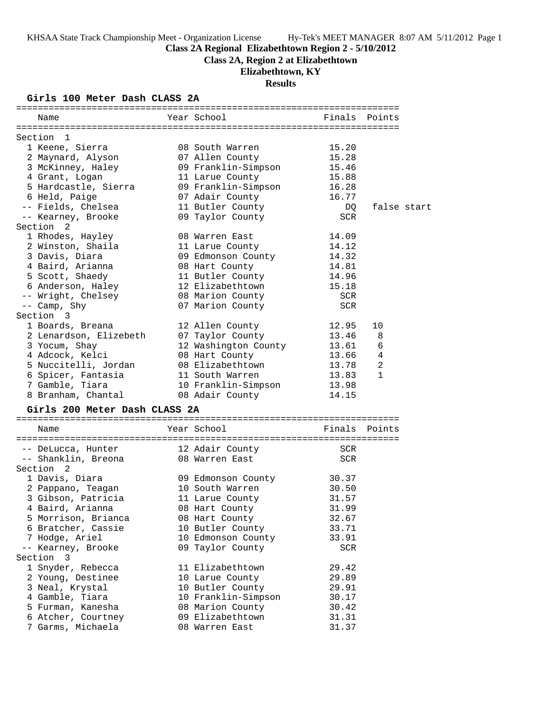**Class 2A Regional Elizabethtown Region 2 - 5/10/2012**

**Class 2A, Region 2 at Elizabethtown**

# **Elizabethtown, KY**

# **Results**

# **Girls 100 Meter Dash CLASS 2A**

| Name                          | Year School          | Finals        | Points       |  |
|-------------------------------|----------------------|---------------|--------------|--|
|                               |                      |               |              |  |
| Section 1                     |                      |               |              |  |
| 1 Keene, Sierra               | 08 South Warren      | 15.20         |              |  |
| 2 Maynard, Alyson             | 07 Allen County      | 15.28         |              |  |
| 3 McKinney, Haley             | 09 Franklin-Simpson  | 15.46         |              |  |
| 4 Grant, Logan                | 11 Larue County      | 15.88         |              |  |
| 5 Hardcastle, Sierra          | 09 Franklin-Simpson  | 16.28         |              |  |
| 6 Held, Paige                 | 07 Adair County      | 16.77         |              |  |
| -- Fields, Chelsea            | 11 Butler County     | DQ            | false start  |  |
| -- Kearney, Brooke            | 09 Taylor County     | <b>SCR</b>    |              |  |
| Section <sub>2</sub>          |                      |               |              |  |
| 1 Rhodes, Hayley              | 08 Warren East       | 14.09         |              |  |
| 2 Winston, Shaila             | 11 Larue County      | 14.12         |              |  |
| 3 Davis, Diara                |                      | 14.32         |              |  |
|                               | 09 Edmonson County   | 14.81         |              |  |
| 4 Baird, Arianna              | 08 Hart County       |               |              |  |
| 5 Scott, Shaedy               | 11 Butler County     | 14.96         |              |  |
| 6 Anderson, Haley             | 12 Elizabethtown     | 15.18         |              |  |
| -- Wright, Chelsey            | 08 Marion County     | SCR           |              |  |
| -- Camp, Shy                  | 07 Marion County     | <b>SCR</b>    |              |  |
| Section 3                     |                      |               |              |  |
| 1 Boards, Breana              | 12 Allen County      | 12.95         | 10           |  |
| 2 Lenardson, Elizebeth        | 07 Taylor County     | 13.46         | 8            |  |
| 3 Yocum, Shay                 | 12 Washington County | 13.61         | 6            |  |
| 4 Adcock, Kelci               | 08 Hart County       | 13.66         | 4            |  |
| 5 Nuccitelli, Jordan          | 08 Elizabethtown     | 13.78         | 2            |  |
| 6 Spicer, Fantasia            | 11 South Warren      | 13.83         | $\mathbf{1}$ |  |
| 7 Gamble, Tiara               | 10 Franklin-Simpson  | 13.98         |              |  |
| 8 Branham, Chantal            | 08 Adair County      | 14.15         |              |  |
|                               |                      |               |              |  |
| Girls 200 Meter Dash CLASS 2A |                      |               |              |  |
| Name                          | Year School          | Finals Points |              |  |
|                               |                      |               |              |  |
| -- DeLucca, Hunter            | 12 Adair County      | SCR           |              |  |
| -- Shanklin, Breona           | 08 Warren East       | SCR           |              |  |
| Section <sub>2</sub>          |                      |               |              |  |
| 1 Davis, Diara                | 09 Edmonson County   | 30.37         |              |  |
| 2 Pappano, Teagan             | 10 South Warren      | 30.50         |              |  |
| 3 Gibson, Patricia            | 11 Larue County      | 31.57         |              |  |
| 4 Baird, Arianna              | 08 Hart County       | 31.99         |              |  |
| 5 Morrison, Brianca           | 08 Hart County       | 32.67         |              |  |
| 6 Bratcher, Cassie            | 10 Butler County     | 33.71         |              |  |
| 7 Hodge, Ariel                | 10 Edmonson County   | 33.91         |              |  |
| -- Kearney, Brooke            | 09 Taylor County     | <b>SCR</b>    |              |  |
| Section 3                     |                      |               |              |  |
| 1 Snyder, Rebecca             | 11 Elizabethtown     | 29.42         |              |  |
| 2 Young, Destinee             | 10 Larue County      | 29.89         |              |  |
| 3 Neal, Krystal               | 10 Butler County     | 29.91         |              |  |
| 4 Gamble, Tiara               | 10 Franklin-Simpson  | 30.17         |              |  |
| 5 Furman, Kanesha             | 08 Marion County     | 30.42         |              |  |
| 6 Atcher, Courtney            | 09 Elizabethtown     | 31.31         |              |  |
| 7 Garms, Michaela             | 08 Warren East       | 31.37         |              |  |
|                               |                      |               |              |  |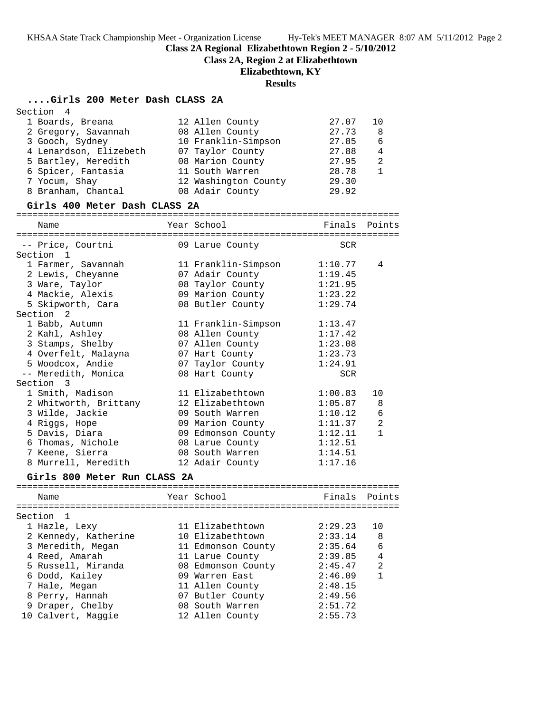**Class 2A Regional Elizabethtown Region 2 - 5/10/2012**

**Class 2A, Region 2 at Elizabethtown**

# **Elizabethtown, KY**

# **Results**

# **....Girls 200 Meter Dash CLASS 2A**

| Section<br>4                  |                      |            |                |
|-------------------------------|----------------------|------------|----------------|
| 1 Boards, Breana              | 12 Allen County      | 27.07      | 10             |
| 2 Gregory, Savannah           | 08 Allen County      | 27.73      | 8              |
| 3 Gooch, Sydney               | 10 Franklin-Simpson  | 27.85      | 6              |
| 4 Lenardson, Elizebeth        | 07 Taylor County     | 27.88      | 4              |
| 5 Bartley, Meredith           | 08 Marion County     | 27.95      | 2              |
| 6 Spicer, Fantasia            | 11 South Warren      | 28.78      | $\mathbf{1}$   |
| 7 Yocum, Shay                 | 12 Washington County | 29.30      |                |
| 8 Branham, Chantal            | 08 Adair County      | 29.92      |                |
| Girls 400 Meter Dash CLASS 2A |                      |            |                |
|                               |                      |            |                |
| Name                          | Year School          | Finals     | Points         |
| -- Price, Courtni             |                      |            |                |
| Section 1                     | 09 Larue County      | SCR        |                |
| 1 Farmer, Savannah            | 11 Franklin-Simpson  | 1:10.77    | 4              |
| 2 Lewis, Cheyanne             | 07 Adair County      | 1:19.45    |                |
| 3 Ware, Taylor                | 08 Taylor County     | 1:21.95    |                |
| 4 Mackie, Alexis              | 09 Marion County     | 1:23.22    |                |
| 5 Skipworth, Cara             | 08 Butler County     | 1:29.74    |                |
| Section <sub>2</sub>          |                      |            |                |
| 1 Babb, Autumn                | 11 Franklin-Simpson  | 1:13.47    |                |
| 2 Kahl, Ashley                | 08 Allen County      | 1:17.42    |                |
| 3 Stamps, Shelby              | 07 Allen County      | 1:23.08    |                |
| 4 Overfelt, Malayna           | 07 Hart County       | 1:23.73    |                |
| 5 Woodcox, Andie              | 07 Taylor County     | 1:24.91    |                |
| -- Meredith, Monica           | 08 Hart County       | <b>SCR</b> |                |
| Section 3                     |                      |            |                |
| 1 Smith, Madison              | 11 Elizabethtown     | 1:00.83    | 10             |
| 2 Whitworth, Brittany         | 12 Elizabethtown     | 1:05.87    | 8              |
| 3 Wilde, Jackie               | 09 South Warren      | 1:10.12    | $\epsilon$     |
| 4 Riggs, Hope                 | 09 Marion County     | 1:11.37    | $\overline{2}$ |
| 5 Davis, Diara                | 09 Edmonson County   | 1:12.11    | $\mathbf{1}$   |
| 6 Thomas, Nichole             | 08 Larue County      | 1:12.51    |                |
| 7 Keene, Sierra               | 08 South Warren      | 1:14.51    |                |
| 8 Murrell, Meredith           | 12 Adair County      | 1:17.16    |                |
| Girls 800 Meter Run CLASS 2A  |                      |            |                |
| Name                          | Year School          | Finals     | Points         |
| Section<br>1                  |                      |            |                |
| 1 Hazle, Lexy                 | 11 Elizabethtown     | 2:29.23    | 10             |
| 2 Kennedy, Katherine          | 10 Elizabethtown     | 2:33.14    | 8              |
| 3 Meredith, Megan             | 11 Edmonson County   | 2:35.64    | 6              |
| 4 Reed, Amarah                | 11 Larue County      | 2:39.85    | 4              |
| 5 Russell, Miranda            | 08 Edmonson County   | 2:45.47    | 2              |
| 6 Dodd, Kailey                | 09 Warren East       | 2:46.09    | $\mathbf{1}$   |
| 7 Hale, Megan                 | 11 Allen County      | 2:48.15    |                |
| 8 Perry, Hannah               | 07 Butler County     | 2:49.56    |                |
| 9 Draper, Chelby              | 08 South Warren      | 2:51.72    |                |
| 10 Calvert, Maggie            | 12 Allen County      | 2:55.73    |                |
|                               |                      |            |                |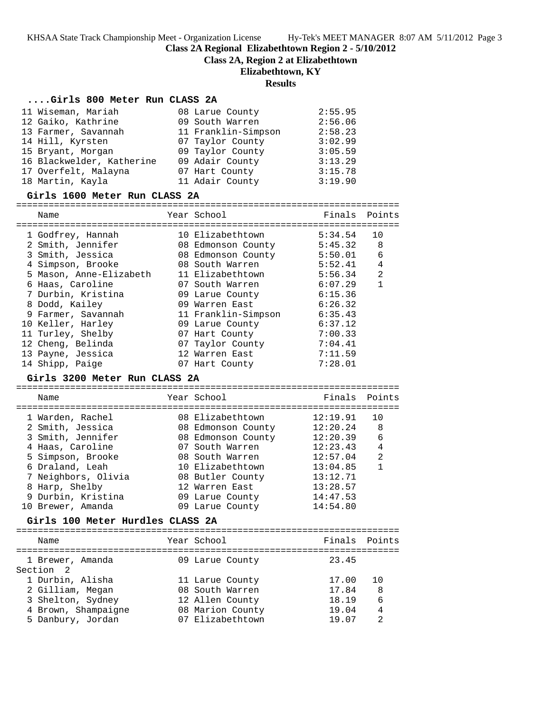**Class 2A Regional Elizabethtown Region 2 - 5/10/2012**

**Class 2A, Region 2 at Elizabethtown**

### **Elizabethtown, KY**

### **Results**

### **....Girls 800 Meter Run CLASS 2A**

| 11 Wiseman, Mariah        | 08 Larue County     | 2:55.95 |
|---------------------------|---------------------|---------|
| 12 Gaiko, Kathrine        | 09 South Warren     | 2:56.06 |
| 13 Farmer, Savannah       | 11 Franklin-Simpson | 2:58.23 |
| 14 Hill, Kyrsten          | 07 Taylor County    | 3:02.99 |
| 15 Bryant, Morgan         | 09 Taylor County    | 3:05.59 |
| 16 Blackwelder, Katherine | 09 Adair County     | 3:13.29 |
| 17 Overfelt, Malayna      | 07 Hart County      | 3:15.78 |
| 18 Martin, Kayla          | 11 Adair County     | 3:19.90 |

#### **Girls 1600 Meter Run CLASS 2A**

=======================================================================

| Name                    | Year School         | Finals  | Points |
|-------------------------|---------------------|---------|--------|
| 1 Godfrey, Hannah       | 10 Elizabethtown    | 5:34.54 | 10     |
| 2 Smith, Jennifer       | 08 Edmonson County  | 5:45.32 | 8      |
| 3 Smith, Jessica        | 08 Edmonson County  | 5:50.01 | 6      |
| 4 Simpson, Brooke       | 08 South Warren     | 5:52.41 | 4      |
| 5 Mason, Anne-Elizabeth | 11 Elizabethtown    | 5:56.34 | 2      |
| 6 Haas, Caroline        | 07 South Warren     | 6:07.29 | 1      |
| 7 Durbin, Kristina      | 09 Larue County     | 6:15.36 |        |
| 8 Dodd, Kailey          | 09 Warren East      | 6:26.32 |        |
| 9 Farmer, Savannah      | 11 Franklin-Simpson | 6:35.43 |        |
| 10 Keller, Harley       | 09 Larue County     | 6:37.12 |        |
| 11 Turley, Shelby       | 07 Hart County      | 7:00.33 |        |
| 12 Cheng, Belinda       | 07 Taylor County    | 7:04.41 |        |
| 13 Payne, Jessica       | 12 Warren East      | 7:11.59 |        |
| 14 Shipp, Paige         | 07 Hart County      | 7:28.01 |        |

### **Girls 3200 Meter Run CLASS 2A**

======================================================================= Name The Year School The Pinals Points ======================================================================= 1 Warden, Rachel 08 Elizabethtown 12:19.91 10 2 Smith, Jessica 08 Edmonson County 12:20.24 8 3 Smith, Jennifer 08 Edmonson County 12:20.39 6 4 Haas, Caroline 07 South Warren 12:23.43 4 5 Simpson, Brooke 08 South Warren 12:57.04 2 6 Draland, Leah 10 Elizabethtown 13:04.85 1 7 Neighbors, Olivia 08 Butler County 13:12.71 8 Harp, Shelby 12 Warren East 13:28.57 9 Durbin, Kristina 09 Larue County 14:47.53 10 Brewer, Amanda 09 Larue County 14:54.80 **Girls 100 Meter Hurdles CLASS 2A**

### ======================================================================= Year School Finals Points ======================================================================= 1 Brewer, Amanda 109 Larue County 23.45 Section 2 1 Durbin, Alisha 11 Larue County 17.00 10 2 Gilliam, Megan 08 South Warren 17.84 8 3 Shelton, Sydney 12 Allen County 18.19 6 4 Brown, Shampaigne 08 Marion County 19.04 4 5 Danbury, Jordan 07 Elizabethtown 19.07 2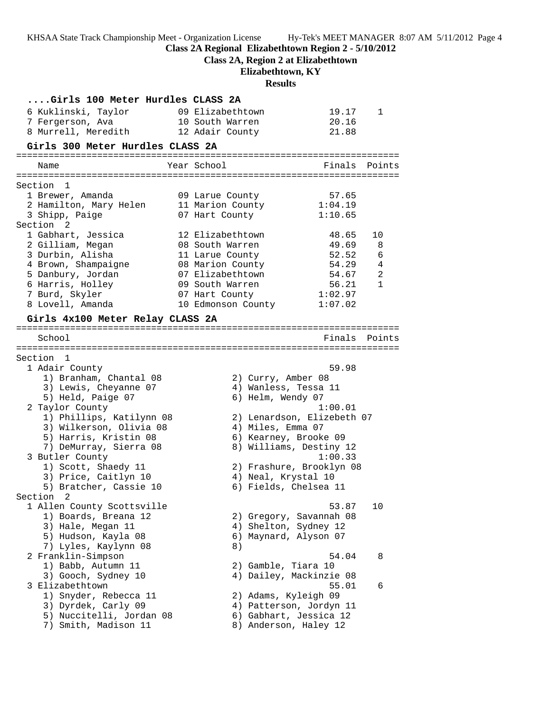**Class 2A Regional Elizabethtown Region 2 - 5/10/2012**

**Class 2A, Region 2 at Elizabethtown**

# **Elizabethtown, KY**

# **Results**

| Girls 100 Meter Hurdles CLASS 2A            |                    |                       |                            |               |
|---------------------------------------------|--------------------|-----------------------|----------------------------|---------------|
| 6 Kuklinski, Taylor                         | 09 Elizabethtown   |                       | 19.17                      | 1             |
| 7 Fergerson, Ava                            | 10 South Warren    |                       | 20.16                      |               |
| 8 Murrell, Meredith                         | 12 Adair County    |                       | 21.88                      |               |
| Girls 300 Meter Hurdles CLASS 2A            |                    |                       |                            |               |
| Name                                        | Year School        |                       | Finals                     | Points        |
| Section 1                                   |                    |                       |                            |               |
| 1 Brewer, Amanda                            | 09 Larue County    |                       | 57.65                      |               |
| 2 Hamilton, Mary Helen                      | 11 Marion County   |                       | 1:04.19                    |               |
| 3 Shipp, Paige                              | 07 Hart County     |                       | 1:10.65                    |               |
| Section <sub>2</sub>                        |                    |                       |                            |               |
| 1 Gabhart, Jessica                          | 12 Elizabethtown   |                       | 48.65                      | 10            |
| 2 Gilliam, Megan                            | 08 South Warren    |                       | 49.69                      | 8             |
| 3 Durbin, Alisha                            | 11 Larue County    |                       | 52.52                      | 6             |
| 4 Brown, Shampaigne                         | 08 Marion County   |                       | 54.29                      | 4             |
| 5 Danbury, Jordan                           | 07 Elizabethtown   |                       | 54.67                      | 2             |
| 6 Harris, Holley                            | 09 South Warren    |                       | 56.21                      | $\mathbf{1}$  |
| 7 Burd, Skyler                              | 07 Hart County     |                       | 1:02.97                    |               |
| 8 Lovell, Amanda                            | 10 Edmonson County |                       | 1:07.02                    |               |
| Girls 4x100 Meter Relay CLASS 2A            |                    |                       |                            |               |
| School                                      |                    |                       |                            | Finals Points |
|                                             |                    |                       |                            |               |
| Section 1                                   |                    |                       |                            |               |
| 1 Adair County                              |                    |                       | 59.98                      |               |
| 1) Branham, Chantal 08                      |                    | 2) Curry, Amber 08    |                            |               |
| 3) Lewis, Cheyanne 07                       |                    | 4) Wanless, Tessa 11  |                            |               |
| 5) Held, Paige 07                           |                    | 6) Helm, Wendy 07     |                            |               |
| 2 Taylor County                             |                    |                       | 1:00.01                    |               |
| 1) Phillips, Katilynn 08                    |                    |                       | 2) Lenardson, Elizebeth 07 |               |
| 3) Wilkerson, Olivia 08                     |                    | 4) Miles, Emma 07     |                            |               |
| 5) Harris, Kristin 08                       |                    | 6) Kearney, Brooke 09 |                            |               |
| 7) DeMurray, Sierra 08                      |                    |                       | 8) Williams, Destiny 12    |               |
| 3 Butler County                             |                    |                       | 1:00.33                    |               |
| 1) Scott, Shaedy 11<br>3) Price, Caitlyn 10 |                    | 4) Neal, Krystal 10   | 2) Frashure, Brooklyn 08   |               |
| 5) Bratcher, Cassie 10                      |                    | 6) Fields, Chelsea 11 |                            |               |
| Section<br>2                                |                    |                       |                            |               |
| 1 Allen County Scottsville                  |                    |                       | 53.87                      | 10            |
| 1) Boards, Breana 12                        |                    |                       | 2) Gregory, Savannah 08    |               |
| 3) Hale, Megan 11                           |                    | 4) Shelton, Sydney 12 |                            |               |
| 5) Hudson, Kayla 08                         |                    | 6) Maynard, Alyson 07 |                            |               |
| 7) Lyles, Kaylynn 08                        | 8)                 |                       |                            |               |
| 2 Franklin-Simpson                          |                    |                       | 54.04                      | 8             |
| 1) Babb, Autumn 11                          |                    | 2) Gamble, Tiara 10   |                            |               |
| 3) Gooch, Sydney 10                         |                    |                       | 4) Dailey, Mackinzie 08    |               |
| 3 Elizabethtown                             |                    |                       | 55.01                      | 6             |
| 1) Snyder, Rebecca 11                       |                    | 2) Adams, Kyleigh 09  |                            |               |
| 3) Dyrdek, Carly 09                         |                    |                       | 4) Patterson, Jordyn 11    |               |
| 5) Nuccitelli, Jordan 08                    |                    |                       | 6) Gabhart, Jessica 12     |               |
| 7) Smith, Madison 11                        |                    | 8) Anderson, Haley 12 |                            |               |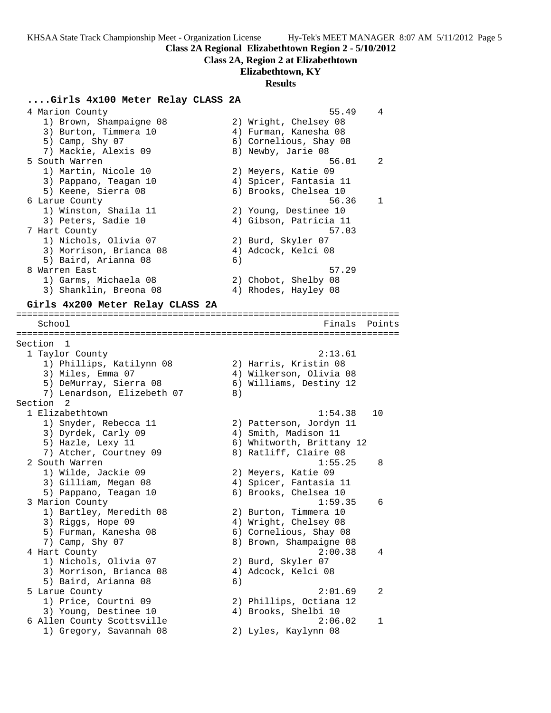**Class 2A Regional Elizabethtown Region 2 - 5/10/2012**

### **Class 2A, Region 2 at Elizabethtown**

### **Elizabethtown, KY**

#### **Results**

### **....Girls 4x100 Meter Relay CLASS 2A**

 4 Marion County 55.49 4 1) Brown, Shampaigne 08 2) Wright, Chelsey 08 3) Burton, Timmera 10 4) Furman, Kanesha 08 5) Camp, Shy 07 6) Cornelious, Shay 08 7) Mackie, Alexis 09 8) Newby, Jarie 08 5 South Warren 56.01 2 1) Martin, Nicole 10 2) Meyers, Katie 09 3) Pappano, Teagan 10 4) Spicer, Fantasia 11 5) Keene, Sierra 08 6) Brooks, Chelsea 10 6 Larue County 56.36 1 1) Winston, Shaila 11 2) Young, Destinee 10 3) Peters, Sadie 10 4) Gibson, Patricia 11 7 Hart County 57.03 1) Nichols, Olivia 07 2) Burd, Skyler 07 3) Morrison, Brianca 08 (4) Adcock, Kelci 08 5) Baird, Arianna 08 (6) 8 Warren East 1986 – 1986 – 1987 – 1988 – 1988 – 1988 – 1988 – 1988 – 1988 – 1988 – 1988 – 1988 – 1988 – 1988 1) Garms, Michaela 08 2) Chobot, Shelby 08 3) Shanklin, Breona 08 4) Rhodes, Hayley 08

#### **Girls 4x200 Meter Relay CLASS 2A**

======================================================================= School **Finals** Points ======================================================================= Section 1 1 Taylor County 2:13.61 1) Phillips, Katilynn 08 2) Harris, Kristin 08 3) Miles, Emma 07 4) Wilkerson, Olivia 08 5) DeMurray, Sierra 08 6) Williams, Destiny 12 7) Lenardson, Elizebeth 07 (8) Section 2<br>1 Elizabethtown 1 Elizabethtown 1:54.38 10 1) Snyder, Rebecca 11 2) Patterson, Jordyn 11 3) Dyrdek, Carly 09 19 4) Smith, Madison 11 5) Hazle, Lexy 11 6) Whitworth, Brittany 12 7) Atcher, Courtney 09 8) Ratliff, Claire 08 2 South Warren 2012 1:55.25 8 1) Wilde, Jackie 09 2) Meyers, Katie 09 3) Gilliam, Megan 08 4) Spicer, Fantasia 11 5) Pappano, Teagan 10 6) Brooks, Chelsea 10 3 Marion County 1:59.35 6 1) Bartley, Meredith 08 2) Burton, Timmera 10 3) Riggs, Hope 09 4) Wright, Chelsey 08 5) Furman, Kanesha 08 6) Cornelious, Shay 08 7) Camp, Shy 07 8) Brown, Shampaigne 08 4 Hart County 2:00.38 4 1) Nichols, Olivia 07 2) Burd, Skyler 07 3) Morrison, Brianca 08 4) Adcock, Kelci 08 5) Baird, Arianna 08 (6) 5 Larue County 2:01.69 2 1) Price, Courtni 09 2) Phillips, Octiana 12 3) Young, Destinee 10 (4) Brooks, Shelbi 10 6 Allen County Scottsville 2:06.02 1 1) Gregory, Savannah 08 2) Lyles, Kaylynn 08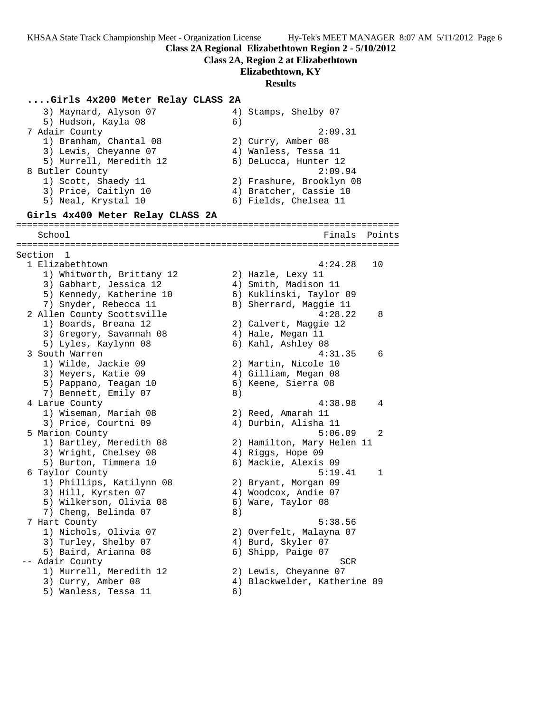**Class 2A Regional Elizabethtown Region 2 - 5/10/2012**

**Class 2A, Region 2 at Elizabethtown**

**Elizabethtown, KY**

#### **Results**

**....Girls 4x200 Meter Relay CLASS 2A** 3) Maynard, Alyson 07 4) Stamps, Shelby 07 5) Hudson, Kayla 08 (6) 7 Adair County 2:09.31 1) Branham, Chantal 08 2) Curry, Amber 08 3) Lewis, Cheyanne 07 4) Wanless, Tessa 11 5) Murrell, Meredith 12 6) DeLucca, Hunter 12 8 Butler County 2:09.94 1) Scott, Shaedy 11 2) Frashure, Brooklyn 08 3) Price, Caitlyn 10 4) Bratcher, Cassie 10 5) Neal, Krystal 10 6) Fields, Chelsea 11 **Girls 4x400 Meter Relay CLASS 2A** ======================================================================= School Finals Points ======================================================================= Section 1 1 Elizabethtown 4:24.28 10 1) Whitworth, Brittany 12 2) Hazle, Lexy 11 3) Gabhart, Jessica 12 (4) Smith, Madison 11 5) Kennedy, Katherine 10 6) Kuklinski, Taylor 09 7) Snyder, Rebecca 11 8) Sherrard, Maggie 11 2 Allen County Scottsville 4:28.22 8 1) Boards, Breana 12 2) Calvert, Maggie 12 3) Gregory, Savannah 08  $\hskip1cm 4$ ) Hale, Megan 11 5) Lyles, Kaylynn 08 6) Kahl, Ashley 08 3 South Warren 4:31.35 6 1) Wilde, Jackie 09 2) Martin, Nicole 10 3) Meyers, Katie 09  $\hskip1cm \hskip1cm 4)$  Gilliam, Megan 08 5) Pappano, Teagan 10  $\qquad \qquad$  6) Keene, Sierra 08 7) Bennett, Emily 07 8) 4 Larue County 4:38.98 4 1) Wiseman, Mariah 08 2) Reed, Amarah 11 3) Price, Courtni 09 4) Durbin, Alisha 11 5 Marion County 5:06.09 2 1) Bartley, Meredith 08 2) Hamilton, Mary Helen 11 3) Wright, Chelsey 08 4) Riggs, Hope 09 5) Burton, Timmera 10 6) Mackie, Alexis 09 6 Taylor County 5:19.41 1 1) Phillips, Katilynn 08 2) Bryant, Morgan 09 3) Hill, Kyrsten 07 4) Woodcox, Andie 07 5) Wilkerson, Olivia 08 6) Ware, Taylor 08 7) Cheng, Belinda 07 (8) 7 Hart County 5:38.56 1) Nichols, Olivia 07 2) Overfelt, Malayna 07 3) Turley, Shelby 07 (4) Burd, Skyler 07 5) Baird, Arianna 08 6) Shipp, Paige 07 -- Adair County SCR 1) Murrell, Meredith 12 2) Lewis, Cheyanne 07 3) Curry, Amber 08 4) Blackwelder, Katherine 09 5) Wanless, Tessa 11 6)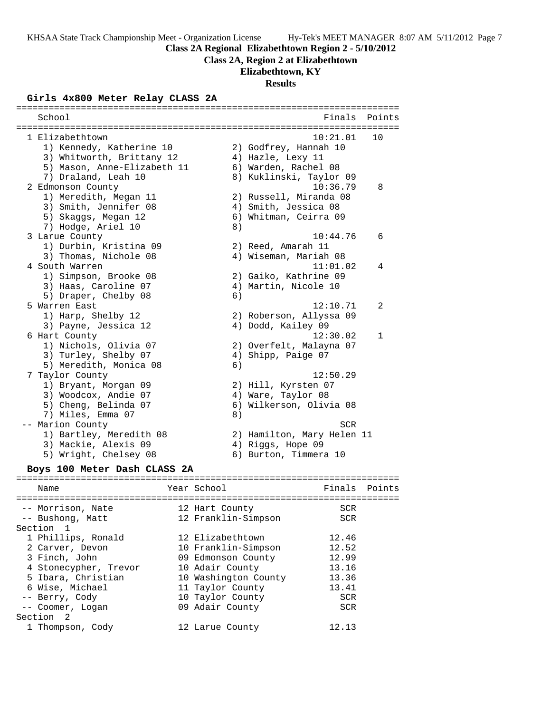**Class 2A Regional Elizabethtown Region 2 - 5/10/2012**

### **Class 2A, Region 2 at Elizabethtown**

# **Elizabethtown, KY**

# **Results**

# **Girls 4x800 Meter Relay CLASS 2A**

| School                       |    | Finals                     | Points       |
|------------------------------|----|----------------------------|--------------|
|                              |    |                            |              |
| 1 Elizabethtown              |    | 10:21.01                   | 10           |
| 1) Kennedy, Katherine 10     |    | 2) Godfrey, Hannah 10      |              |
| 3) Whitworth, Brittany 12    |    | 4) Hazle, Lexy 11          |              |
| 5) Mason, Anne-Elizabeth 11  |    | 6) Warden, Rachel 08       |              |
| 7) Draland, Leah 10          |    | 8) Kuklinski, Taylor 09    |              |
| 2 Edmonson County            |    | 10:36.79                   | 8            |
| 1) Meredith, Megan 11        |    | 2) Russell, Miranda 08     |              |
| 3) Smith, Jennifer 08        |    | 4) Smith, Jessica 08       |              |
| 5) Skaggs, Megan 12          |    | 6) Whitman, Ceirra 09      |              |
| 7) Hodge, Ariel 10           | 8) |                            |              |
| 3 Larue County               |    | 10:44.76                   | 6            |
| 1) Durbin, Kristina 09       |    | 2) Reed, Amarah 11         |              |
| 3) Thomas, Nichole 08        |    | 4) Wiseman, Mariah 08      |              |
| 4 South Warren               |    | 11:01.02                   | 4            |
| 1) Simpson, Brooke 08        |    | 2) Gaiko, Kathrine 09      |              |
| 3) Haas, Caroline 07         |    | 4) Martin, Nicole 10       |              |
| 5) Draper, Chelby 08         | 6) |                            |              |
| 5 Warren East                |    | 12:10.71                   | 2            |
| 1) Harp, Shelby 12           |    | 2) Roberson, Allyssa 09    |              |
| 3) Payne, Jessica 12         |    | 4) Dodd, Kailey 09         |              |
| 6 Hart County                |    | 12:30.02                   | $\mathbf{1}$ |
| 1) Nichols, Olivia 07        |    | 2) Overfelt, Malayna 07    |              |
| 3) Turley, Shelby 07         |    | 4) Shipp, Paige 07         |              |
| 5) Meredith, Monica 08       | 6) |                            |              |
| 7 Taylor County              |    | 12:50.29                   |              |
| 1) Bryant, Morgan 09         |    | 2) Hill, Kyrsten 07        |              |
| 3) Woodcox, Andie 07         |    | 4) Ware, Taylor 08         |              |
| 5) Cheng, Belinda 07         |    | 6) Wilkerson, Olivia 08    |              |
| 7) Miles, Emma 07            | 8) |                            |              |
| -- Marion County             |    | <b>SCR</b>                 |              |
| 1) Bartley, Meredith 08      |    | 2) Hamilton, Mary Helen 11 |              |
| 3) Mackie, Alexis 09         |    | 4) Riggs, Hope 09          |              |
| 5) Wright, Chelsey 08        |    | 6) Burton, Timmera 10      |              |
|                              |    |                            |              |
| Boys 100 Meter Dash CLASS 2A |    |                            |              |

### ======================================================================= Name The Year School The Finals Points ======================================================================= -- Morrison, Nate 12 Hart County 5CR<br>-- Bushong, Matt 12 Franklin-Simpson SCR<br>Nastian 1 -- Bushong, Matt 12 Franklin-Simpson SCR Section 1 1 Phillips, Ronald 12 Elizabethtown 12.46 2 Carver, Devon 10 Franklin-Simpson 12.52 3 Finch, John 09 Edmonson County 12.99 4 Stonecypher, Trevor 10 Adair County 13.16 5 Ibara, Christian 10 Washington County 13.36 6 Wise, Michael 11 Taylor County 13.41 -- Berry, Cody 10 Taylor County SCR -- Coomer, Logan 09 Adair County SCR Section 2 1 Thompson, Cody 12 Larue County 12.13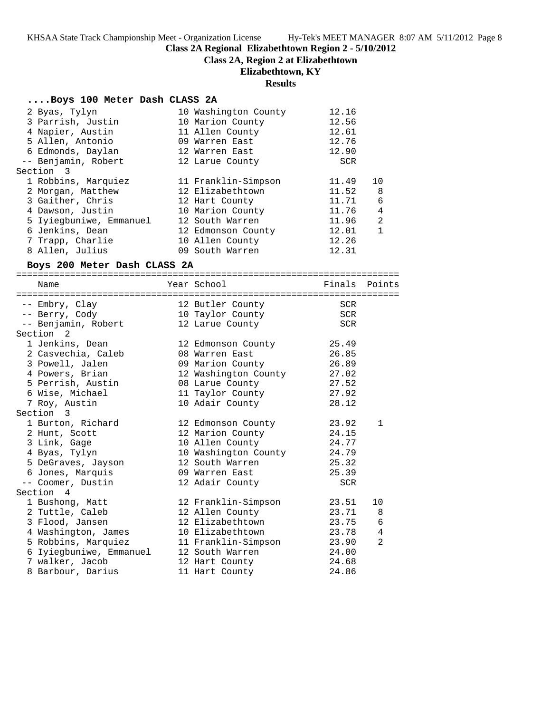**Class 2A Regional Elizabethtown Region 2 - 5/10/2012**

**Class 2A, Region 2 at Elizabethtown**

# **Elizabethtown, KY**

# **Results**

# **....Boys 100 Meter Dash CLASS 2A**

| 2 Byas, Tylyn                       | 10 Washington County                        | 12.16      |              |
|-------------------------------------|---------------------------------------------|------------|--------------|
| 3 Parrish, Justin                   | 10 Marion County                            | 12.56      |              |
| 4 Napier, Austin                    | 11 Allen County                             | 12.61      |              |
| 5 Allen, Antonio                    | 09 Warren East                              | 12.76      |              |
| 6 Edmonds, Daylan                   | 12 Warren East                              | 12.90      |              |
| -- Benjamin, Robert                 | 12 Larue County                             | <b>SCR</b> |              |
| Section<br>3                        |                                             |            |              |
| 1 Robbins, Marquiez                 | 11 Franklin-Simpson                         | 11.49      | 10           |
| 2 Morgan, Matthew                   | 12 Elizabethtown                            | 11.52      | 8            |
| 3 Gaither, Chris                    | 12 Hart County                              | 11.71      | 6            |
| 4 Dawson, Justin                    | 10 Marion County                            | 11.76      | 4            |
| 5 Iyiegbuniwe, Emmanuel             | 12 South Warren                             | 11.96      | 2            |
| 6 Jenkins, Dean                     | 12 Edmonson County                          | 12.01      | $\mathbf{1}$ |
| 7 Trapp, Charlie                    | 10 Allen County                             | 12.26      |              |
| 8 Allen, Julius                     | 09 South Warren                             | 12.31      |              |
|                                     |                                             |            |              |
| Boys 200 Meter Dash CLASS 2A        |                                             |            |              |
| Name                                | Year School                                 | Finals     | Points       |
|                                     |                                             |            |              |
| -- Embry, Clay                      | 12 Butler County                            | <b>SCR</b> |              |
| -- Berry, Cody                      |                                             | SCR        |              |
| -- Benjamin, Robert                 |                                             | <b>SCR</b> |              |
| Section <sub>2</sub>                | $\frac{1}{2}$ and county<br>12 Larue County |            |              |
| 1 Jenkins, Dean                     | 12 Edmonson County                          | 25.49      |              |
| 2 Casvechia, Caleb                  | 08 Warren East                              | 26.85      |              |
| 3 Powell, Jalen                     | 09 Marion County                            | 26.89      |              |
| 4 Powers, Brian                     | 12 Washington County 27.02                  |            |              |
| 5 Perrish, Austin                   | 08 Larue County                             | 27.52      |              |
| 6 Wise, Michael                     | 11 Taylor County                            | 27.92      |              |
|                                     |                                             | 28.12      |              |
| 7 Roy, Austin<br>Section 3          | 10 Adair County                             |            |              |
|                                     |                                             | 23.92      | $\mathbf{1}$ |
| 1 Burton, Richard<br>2 Hunt, Scott  | 12 Edmonson County<br>12 Marion County      | 24.15      |              |
|                                     | 10 Allen County                             | 24.77      |              |
| 3 Link, Gage                        | 10 Washington County                        | 24.79      |              |
| 4 Byas, Tylyn<br>5 DeGraves, Jayson | 12 South Warren                             | 25.32      |              |
|                                     | 09 Warren East                              |            |              |
| 6 Jones, Marquis                    |                                             | 25.39      |              |
| -- Coomer, Dustin<br>Section 4      | 12 Adair County                             | <b>SCR</b> |              |
|                                     |                                             |            |              |
| 1 Bushong, Matt                     | 12 Franklin-Simpson                         | 23.51      | 10           |
| 2 Tuttle, Caleb                     | 12 Allen County                             | 23.71      | 8            |
| 3 Flood, Jansen                     | 12 Elizabethtown                            | 23.75      | 6            |
| 4 Washington, James                 | 10 Elizabethtown                            | 23.78      | 4            |
| 5 Robbins, Marquiez                 | 11 Franklin-Simpson                         | 23.90      | 2            |
| 6 Iyiegbuniwe, Emmanuel             | 12 South Warren                             | 24.00      |              |
| 7 walker, Jacob                     | 12 Hart County                              | 24.68      |              |
| 8 Barbour, Darius                   | 11 Hart County                              | 24.86      |              |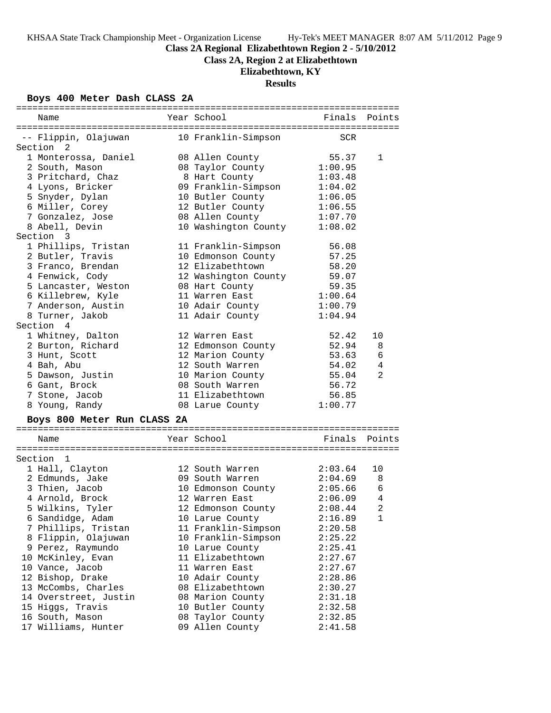**Class 2A Regional Elizabethtown Region 2 - 5/10/2012**

**Class 2A, Region 2 at Elizabethtown**

# **Elizabethtown, KY**

# **Results**

# **Boys 400 Meter Dash CLASS 2A**

| Name                              | Year School                | Finals Points |                |
|-----------------------------------|----------------------------|---------------|----------------|
|                                   |                            |               |                |
| -- Flippin, Olajuwan<br>Section 2 | 10 Franklin-Simpson        | SCR           |                |
| 1 Monterossa, Daniel              | 08 Allen County            | 55.37         | 1              |
| 2 South, Mason                    | 08 Taylor County           | 1:00.95       |                |
| 3 Pritchard, Chaz                 | 8 Hart County              | 1:03.48       |                |
| 4 Lyons, Bricker                  | 09 Franklin-Simpson        | 1:04.02       |                |
| 5 Snyder, Dylan                   | 10 Butler County           | 1:06.05       |                |
| 6 Miller, Corey                   | 12 Butler County           | 1:06.55       |                |
| 7 Gonzalez, Jose                  | 08 Allen County            | 1:07.70       |                |
| 8 Abell, Devin                    | 10 Washington County       | 1:08.02       |                |
| Section 3                         |                            |               |                |
| 1 Phillips, Tristan               | 11 Franklin-Simpson        | 56.08         |                |
| 2 Butler, Travis                  | 10 Edmonson County         | 57.25         |                |
| 3 Franco, Brendan                 | 12 Elizabethtown           | 58.20         |                |
| 4 Fenwick, Cody                   | 12 Washington County 59.07 |               |                |
| 5 Lancaster, Weston               | 08 Hart County             | 59.35         |                |
| 6 Killebrew, Kyle                 | 11 Warren East             | 1:00.64       |                |
| 7 Anderson, Austin                | 10 Adair County            | 1:00.79       |                |
| 8 Turner, Jakob                   | 11 Adair County            | 1:04.94       |                |
| Section 4                         |                            |               |                |
| 1 Whitney, Dalton                 | 12 Warren East             | 52.42         | 10             |
| 2 Burton, Richard                 | 12 Edmonson County         | 52.94         | 8              |
| 3 Hunt, Scott                     | 12 Marion County           | 53.63         | 6              |
| 4 Bah, Abu                        | 12 South Warren            | 54.02         | $\overline{4}$ |
| 5 Dawson, Justin                  | 10 Marion County           | 55.04         | $\overline{2}$ |
| 6 Gant, Brock                     | 08 South Warren            | 56.72         |                |
| 7 Stone, Jacob                    | 11 Elizabethtown           | 56.85         |                |
| 8 Young, Randy                    | 08 Larue County            | 1:00.77       |                |
|                                   |                            |               |                |
| Boys 800 Meter Run CLASS 2A       |                            |               |                |
| Name                              | Year School                | Finals Points |                |
|                                   |                            |               |                |
| Section 1                         |                            |               |                |
| 1 Hall, Clayton                   | 12 South Warren            | 2:03.64       | 10             |
| 2 Edmunds, Jake                   | 09 South Warren            | 2:04.69       | -8             |
| 3 Thien, Jacob                    | 10 Edmonson County         | 2:05.66       | $\sqrt{6}$     |
| 4 Arnold, Brock                   | 12 Warren East             | 2:06.09       | $\overline{4}$ |

| a mumunup, vanc       | US DUUCH WALLEH     | 2 . U . U <i>J</i> | ັບ             |
|-----------------------|---------------------|--------------------|----------------|
| 3 Thien, Jacob        | 10 Edmonson County  | 2:05.66            | - 6            |
| 4 Arnold, Brock       | 12 Warren East      | 2:06.09            | 4              |
| 5 Wilkins, Tyler      | 12 Edmonson County  | 2:08.44            | $\overline{2}$ |
| 6 Sandidge, Adam      | 10 Larue County     | 2:16.89            | 1              |
| 7 Phillips, Tristan   | 11 Franklin-Simpson | 2:20.58            |                |
| 8 Flippin, Olajuwan   | 10 Franklin-Simpson | 2:25.22            |                |
| 9 Perez, Raymundo     | 10 Larue County     | 2:25.41            |                |
| 10 McKinley, Evan     | 11 Elizabethtown    | 2:27.67            |                |
| 10 Vance, Jacob       | 11 Warren East      | 2:27.67            |                |
| 12 Bishop, Drake      | 10 Adair County     | 2:28.86            |                |
| 13 McCombs, Charles   | 08 Elizabethtown    | 2:30.27            |                |
| 14 Overstreet, Justin | 08 Marion County    | 2:31.18            |                |
| 15 Hiqqs, Travis      | 10 Butler County    | 2:32.58            |                |
| 16 South, Mason       | 08 Taylor County    | 2:32.85            |                |
|                       |                     |                    |                |

17 Williams, Hunter 09 Allen County 2:41.58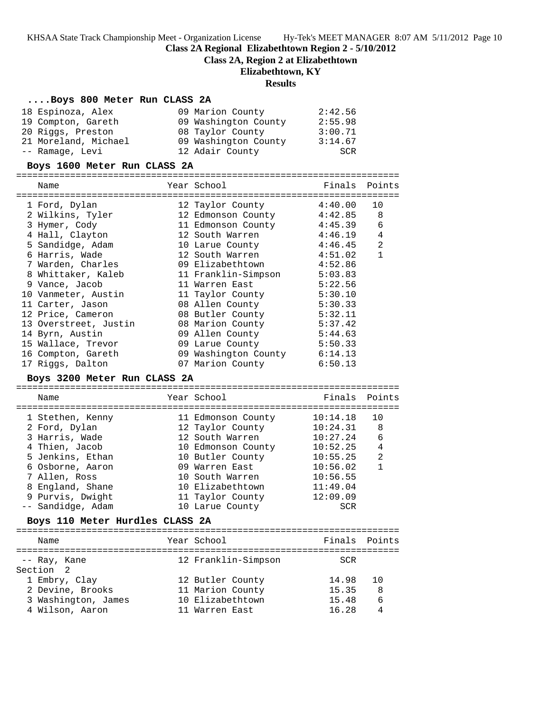**Class 2A Regional Elizabethtown Region 2 - 5/10/2012**

**Class 2A, Region 2 at Elizabethtown**

### **Elizabethtown, KY**

### **Results**

### **....Boys 800 Meter Run CLASS 2A**

| 18 Espinoza, Alex    | 09 Marion County     | 2:42.56 |
|----------------------|----------------------|---------|
| 19 Compton, Gareth   | 09 Washington County | 2:55.98 |
| 20 Riggs, Preston    | 08 Taylor County     | 3:00.71 |
| 21 Moreland, Michael | 09 Washington County | 3:14.67 |
| -- Ramage, Levi      | 12 Adair County      | SCR     |

#### **Boys 1600 Meter Run CLASS 2A**

======================================================================= Name Year School Finals Points ======================================================================= 1 Ford, Dylan 12 Taylor County 4:40.00 10 2 Wilkins, Tyler 12 Edmonson County 4:42.85 8 3 Hymer, Cody 11 Edmonson County 4:45.39 6 4 Hall, Clayton 12 South Warren 4:46.19 4 5 Sandidge, Adam 10 Larue County 4:46.45 2 6 Harris, Wade 12 South Warren 4:51.02 1 7 Warden, Charles 09 Elizabethtown 4:52.86 8 Whittaker, Kaleb 11 Franklin-Simpson 5:03.83 9 Vance, Jacob 11 Warren East 5:22.56 10 Vanmeter, Austin 11 Taylor County 5:30.10 11 Carter, Jason 08 Allen County 5:30.33 12 Price, Cameron 08 Butler County 5:32.11 13 Overstreet, Justin 08 Marion County 5:37.42 14 Byrn, Austin 09 Allen County 5:44.63 15 Wallace, Trevor 09 Larue County 5:50.33 16 Compton, Gareth 09 Washington County 6:14.13 17 Riggs, Dalton 07 Marion County 6:50.13

### **Boys 3200 Meter Run CLASS 2A**

======================================================================= Name Year School ======================================================================= 1 Stethen, Kenny 11 Edmonson County 10:14.18 10 2 Ford, Dylan 12 Taylor County 10:24.31 8 3 Harris, Wade 12 South Warren 10:27.24 6 4 Thien, Jacob 10 Edmonson County 10:52.25 4 5 Jenkins, Ethan 10 Butler County 10:55.25 2 6 Osborne, Aaron 09 Warren East 10:56.02 1 7 Allen, Ross 10 South Warren 10:56.55 8 England, Shane 10 Elizabethtown 11:49.04 9 Purvis, Dwight 11 Taylor County 12:09.09 -- Sandidge, Adam 10 Larue County SCR **Boys 110 Meter Hurdles CLASS 2A** ======================================================================= Name **Name** Year School **Finals Points** ======================================================================= -- Ray, Kane 12 Franklin-Simpson SCR Section 2 1 Embry, Clay 12 Butler County 14.98 10

 2 Devine, Brooks 11 Marion County 15.35 8 3 Washington, James 10 Elizabethtown 15.48 6 4 Wilson, Aaron 11 Warren East 16.28 4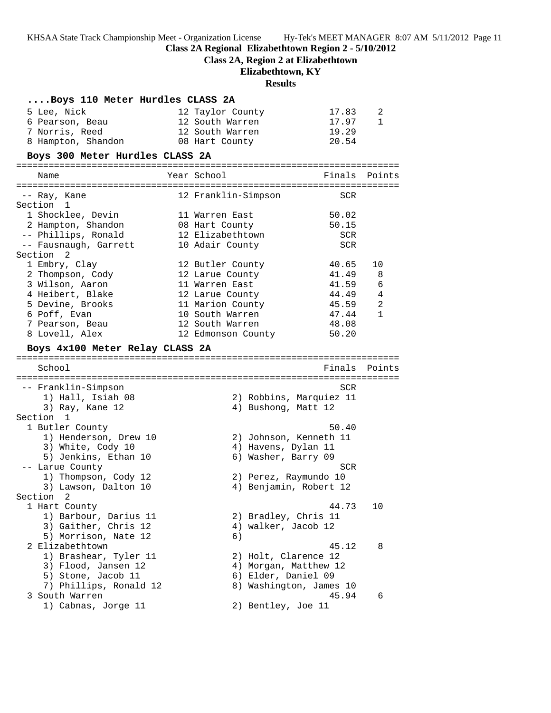**Class 2A Regional Elizabethtown Region 2 - 5/10/2012**

**Class 2A, Region 2 at Elizabethtown**

# **Elizabethtown, KY**

# **Results**

| Boys 110 Meter Hurdles CLASS 2A          |                                                |                              |
|------------------------------------------|------------------------------------------------|------------------------------|
| 5 Lee, Nick                              | 12 Taylor County                               | 17.83<br>2                   |
| 6 Pearson, Beau                          | 12 South Warren                                | 17.97<br>$\mathbf{1}$        |
| 7 Norris, Reed                           | 12 South Warren                                | 19.29                        |
| 8 Hampton, Shandon                       | 08 Hart County                                 | 20.54                        |
| Boys 300 Meter Hurdles CLASS 2A          |                                                |                              |
| Name                                     | Year School                                    | Finals<br>Points             |
|                                          |                                                |                              |
| -- Ray, Kane                             | 12 Franklin-Simpson                            | SCR                          |
| Section<br>1                             |                                                |                              |
| 1 Shocklee, Devin                        | 11 Warren East                                 | 50.02                        |
| 2 Hampton, Shandon                       | 08 Hart County                                 | 50.15                        |
| -- Phillips, Ronald                      | 12 Elizabethtown                               | SCR                          |
| -- Fausnaugh, Garrett                    | 10 Adair County                                | <b>SCR</b>                   |
| Section 2                                |                                                |                              |
| 1 Embry, Clay                            | 40.65<br>12 Butler County                      | 10                           |
| 2 Thompson, Cody                         | 12 Larue County                                | 41.49<br>8                   |
| 3 Wilson, Aaron                          | 11 Warren East                                 | $\epsilon$<br>41.59<br>44.49 |
| 4 Heibert, Blake<br>5 Devine, Brooks     | 12 Larue County<br>45.59                       | 4<br>2                       |
| 6 Poff, Evan                             | 11 Marion County<br>10 South Warren            | 47.44<br>$\mathbf{1}$        |
| 7 Pearson, Beau                          | 12 South Warren                                | 48.08                        |
| 8 Lovell, Alex                           | 12 Edmonson County                             | 50.20                        |
|                                          |                                                |                              |
| Boys 4x100 Meter Relay CLASS 2A          |                                                |                              |
| School                                   | Finals                                         | Points                       |
|                                          |                                                |                              |
| -- Franklin-Simpson                      |                                                | SCR                          |
| 1) Hall, Isiah 08<br>3) Ray, Kane 12     | 2) Robbins, Marquiez 11<br>4) Bushong, Matt 12 |                              |
| Section 1                                |                                                |                              |
| 1 Butler County                          |                                                | 50.40                        |
| 1) Henderson, Drew 10                    | 2) Johnson, Kenneth 11                         |                              |
| 3) White, Cody 10                        | 4) Havens, Dylan 11                            |                              |
| 5) Jenkins, Ethan 10                     | 6) Washer, Barry 09                            |                              |
| -- Larue County                          |                                                | SCR                          |
| 1) Thompson, Cody 12                     | 2) Perez, Raymundo 10                          |                              |
| 3) Lawson, Dalton 10                     | 4) Benjamin, Robert 12                         |                              |
| Section 2                                |                                                |                              |
| 1 Hart County                            |                                                | 44.73<br>10                  |
| 1) Barbour, Darius 11                    | 2) Bradley, Chris 11                           |                              |
| 3) Gaither, Chris 12                     | 4) walker, Jacob 12                            |                              |
| 5) Morrison, Nate 12                     | 6)                                             |                              |
| 2 Elizabethtown                          |                                                | 45.12<br>8                   |
| 1) Brashear, Tyler 11                    | 2) Holt, Clarence 12                           |                              |
| 3) Flood, Jansen 12                      | 4) Morgan, Matthew 12                          |                              |
| 5) Stone, Jacob 11                       | 6) Elder, Daniel 09                            |                              |
| 7) Phillips, Ronald 12<br>3 South Warren | 8) Washington, James 10                        | 45.94<br>6                   |
| 1) Cabnas, Jorge 11                      | 2) Bentley, Joe 11                             |                              |
|                                          |                                                |                              |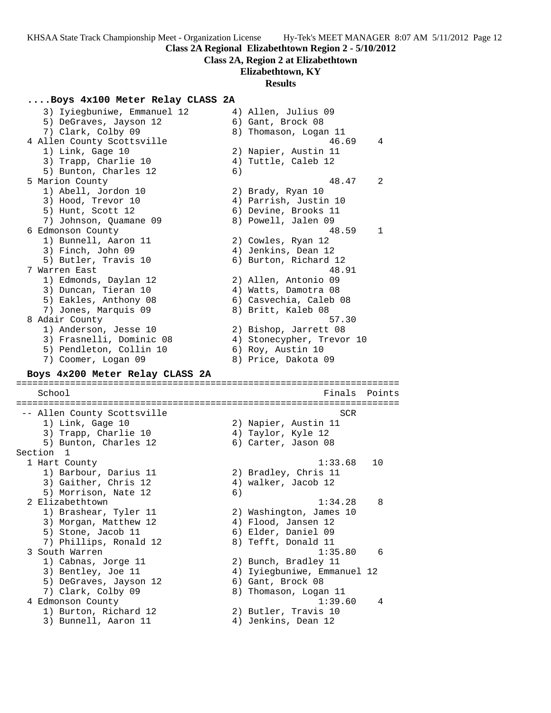**Class 2A Regional Elizabethtown Region 2 - 5/10/2012**

**Class 2A, Region 2 at Elizabethtown**

**Elizabethtown, KY**

#### **Results**

# **....Boys 4x100 Meter Relay CLASS 2A**

 3) Iyiegbuniwe, Emmanuel 12 4) Allen, Julius 09 5) DeGraves, Jayson 12 (6) Gant, Brock 08 7) Clark, Colby 09 8) Thomason, Logan 11 4 Allen County Scottsville 46.69 4 1) Link, Gage 10 2) Napier, Austin 11 3) Trapp, Charlie 10 (4) Tuttle, Caleb 12 5) Bunton, Charles 12 (6) 5 Marion County 48.47 2 1) Abell, Jordon 10 2) Brady, Ryan 10 3) Hood, Trevor 10 4) Parrish, Justin 10 5) Hunt, Scott 12 (6) Devine, Brooks 11 7) Johnson, Quamane 09 8) Powell, Jalen 09 6 Edmonson County 48.59 1 1) Bunnell, Aaron 11 2) Cowles, Ryan 12 3) Finch, John 09 (4) Jenkins, Dean 12 5) Butler, Travis 10 6) Burton, Richard 12 7 Warren East 48.91 1) Edmonds, Daylan 12 2) Allen, Antonio 09 3) Duncan, Tieran 10 4) Watts, Damotra 08 5) Eakles, Anthony 08 6) Casvechia, Caleb 08 7) Jones, Marquis 09 8) Britt, Kaleb 08 8 Adair County 57.30 1) Anderson, Jesse 10 2) Bishop, Jarrett 08 3) Frasnelli, Dominic 08 4) Stonecypher, Trevor 10 5) Pendleton, Collin 10 (6) Roy, Austin 10 7) Coomer, Logan 09 8) Price, Dakota 09 **Boys 4x200 Meter Relay CLASS 2A** ======================================================================= School Finals Points ======================================================================= -- Allen County Scottsville SCR 1) Link, Gage 10 2) Napier, Austin 11 3) Trapp, Charlie 10  $\hskip1cm$  4) Taylor, Kyle 12 5) Bunton, Charles 12 (6) Carter, Jason 08 Section 1 1 Hart County 1:33.68 10 1) Barbour, Darius 11  $\qquad \qquad$  2) Bradley, Chris 11 3) Gaither, Chris 12 4) walker, Jacob 12 5) Morrison, Nate 12 6) 2 Elizabethtown 2 and 2 and 2 and 2 and 2 and 2 and 2 and 2 and 2 and 2 and 2 and 2 and 2 and 2 and 2 and 2 and 2 and 2 and 2 and 2 and 2 and 2 and 2 and 2 and 2 and 2 and 2 and 2 and 2 and 2 and 2 and 2 and 2 and 2 and 2 1) Brashear, Tyler 11 2) Washington, James 10 3) Morgan, Matthew 12  $\hskip1cm 4)$  Flood, Jansen 12 5) Stone, Jacob 11 6) Elder, Daniel 09 7) Phillips, Ronald 12 8) Tefft, Donald 11 3 South Warren 1:35.80 6 1) Cabnas, Jorge 11 2) Bunch, Bradley 11 3) Bentley, Joe 11 4) Iyiegbuniwe, Emmanuel 12 5) DeGraves, Jayson 12 (6) Gant, Brock 08 7) Clark, Colby 09 8) Thomason, Logan 11 4 Edmonson County 1:39.60 4 1) Burton, Richard 12 2) Butler, Travis 10 3) Bunnell, Aaron 11 (4) Jenkins, Dean 12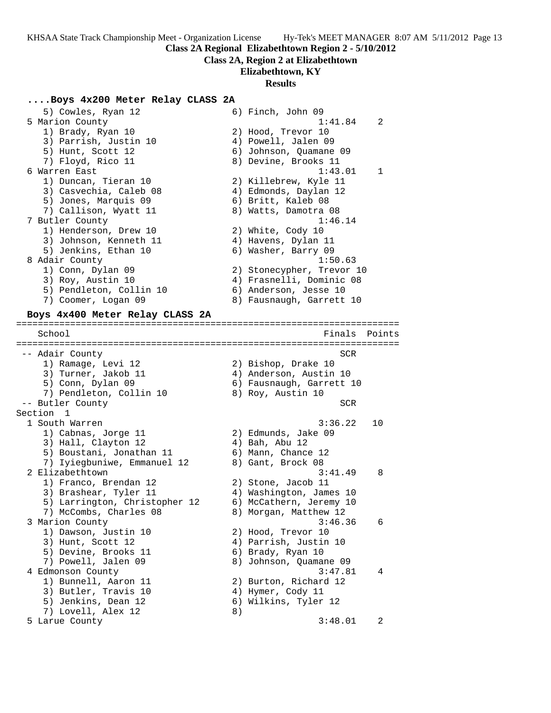**Class 2A Regional Elizabethtown Region 2 - 5/10/2012**

### **Class 2A, Region 2 at Elizabethtown**

**Elizabethtown, KY**

#### **Results**

#### **....Boys 4x200 Meter Relay CLASS 2A**

5) Cowles, Ryan 12 6) Finch, John 09 5 Marion County 1:41.84 2 1) Brady, Ryan 10 2) Hood, Trevor 10 3) Parrish, Justin 10 4) Powell, Jalen 09 5) Hunt, Scott 12 6) Johnson, Quamane 09 7) Floyd, Rico 11 8) Devine, Brooks 11 6 Warren East 1:43.01 1 1) Duncan, Tieran 10 2) Killebrew, Kyle 11 3) Casvechia, Caleb 08 4) Edmonds, Daylan 12 5) Jones, Marquis 09 6) Britt, Kaleb 08 7) Callison, Wyatt 11  $\qquad \qquad 8)$  Watts, Damotra 08 7 Butler County 1:46.14 1) Henderson, Drew 10 2) White, Cody 10 3) Johnson, Kenneth 11  $\hskip10mm 4$ ) Havens, Dylan 11 5) Jenkins, Ethan 10 (6) Washer, Barry 09 8 Adair County 1:50.63 1) Conn, Dylan 09 2) Stonecypher, Trevor 10 3) Roy, Austin 10 4) Frasnelli, Dominic 08 5) Pendleton, Collin 10 6) Anderson, Jesse 10 7) Coomer, Logan 09 8) Fausnaugh, Garrett 10 **Boys 4x400 Meter Relay CLASS 2A** ======================================================================= School **Finals** Points ======================================================================= -- Adair County SCR 1) Ramage, Levi 12 2) Bishop, Drake 10 3) Turner, Jakob 11 4) Anderson, Austin 10 5) Conn, Dylan 09 6) Fausnaugh, Garrett 10 7) Pendleton, Collin 10 and 8) Roy, Austin 10 -- Butler County SCR Section 1 1 South Warren 3:36.22 10 1) Cabnas, Jorge 11 2) Edmunds, Jake 09 3) Hall, Clayton 12 (4) Bah, Abu 12 5) Boustani, Jonathan 11 6) Mann, Chance 12 7) Iyiegbuniwe, Emmanuel 12 and 8) Gant, Brock 08 2 Elizabethtown 3:41.49 8 1) Franco, Brendan 12 2) Stone, Jacob 11 3) Brashear, Tyler 11 4) Washington, James 10 5) Larrington, Christopher 12 6) McCathern, Jeremy 10 7) McCombs, Charles 08 8) Morgan, Matthew 12 3 Marion County 3:46.36 6 1) Dawson, Justin 10 2) Hood, Trevor 10 3) Hunt, Scott 12 4) Parrish, Justin 10 5) Devine, Brooks 11 (6) Brady, Ryan 10 7) Powell, Jalen 09 8) Johnson, Quamane 09 4 Edmonson County 3:47.81 4 1) Bunnell, Aaron 11 2) Burton, Richard 12 3) Butler, Travis 10 (4) Hymer, Cody 11 5) Jenkins, Dean 12 6) Wilkins, Tyler 12 7) Lovell, Alex 12 (8) 5 Larue County 3:48.01 2